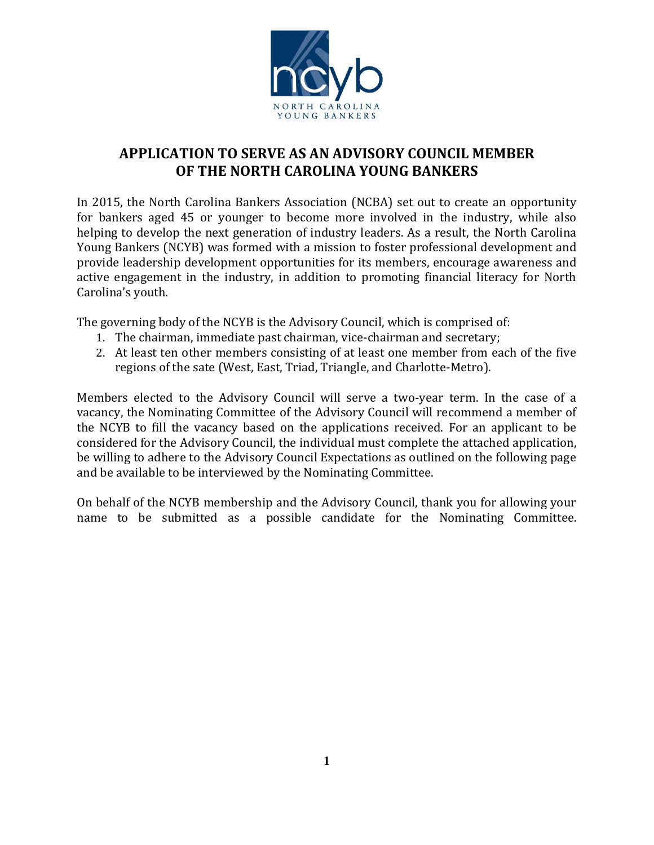

# **APPLICATION TO SERVE AS AN ADVISORY COUNCIL MEMBER OF THE NORTH CAROLINA YOUNG BANKERS**

In 2015, the North Carolina Bankers Association (NCBA) set out to create an opportunity for bankers aged 45 or younger to become more involved in the industry, while also helping to develop the next generation of industry leaders. As a result, the North Carolina Young Bankers (NCYB) was formed with a mission to foster professional development and provide leadership development opportunities for its members, encourage awareness and active engagement in the industry, in addition to promoting financial literacy for North Carolina's youth.

The governing body of the NCYB is the Advisory Council, which is comprised of:

- 1. The chairman, immediate past chairman, vice-chairman and secretary;
- 2. At least ten other members consisting of at least one member from each of the five regions of the sate (West, East, Triad, Triangle, and Charlotte-Metro).

Members elected to the Advisory Council will serve a two-year term. In the case of a vacancy, the Nominating Committee of the Advisory Council will recommend a member of the NCYB to fill the vacancy based on the applications received. For an applicant to be considered for the Advisory Council, the individual must complete the attached application, be willing to adhere to the Advisory Council Expectations as outlined on the following page and be available to be interviewed by the Nominating Committee.

On behalf of the NCYB membership and the Advisory Council, thank you for allowing your name to be submitted as a possible candidate for the Nominating Committee.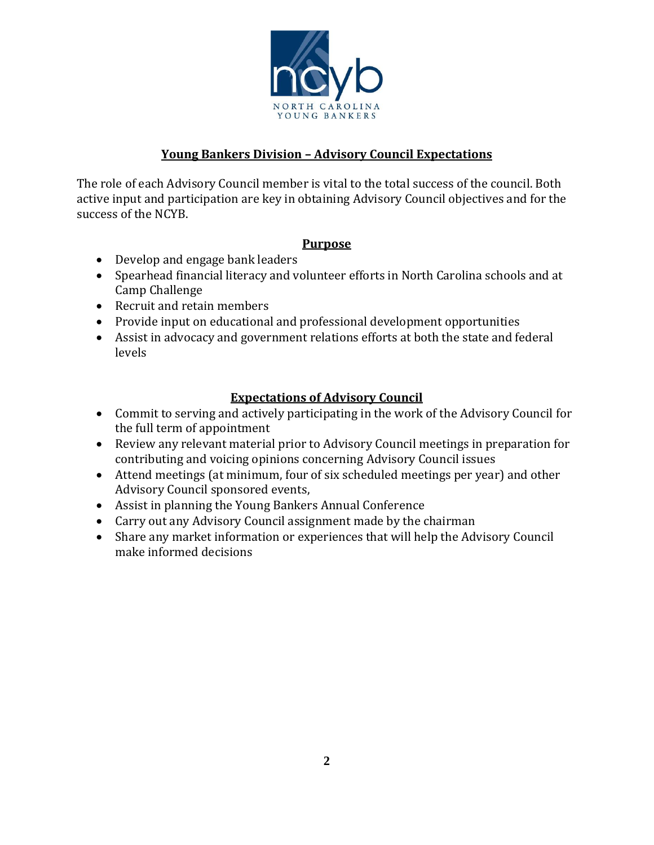

## **Young Bankers Division – Advisory Council Expectations**

The role of each Advisory Council member is vital to the total success of the council. Both active input and participation are key in obtaining Advisory Council objectives and for the success of the NCYB.

## **Purpose**

- Develop and engage bank leaders
- Spearhead financial literacy and volunteer efforts in North Carolina schools and at Camp Challenge
- Recruit and retain members
- Provide input on educational and professional development opportunities
- Assist in advocacy and government relations efforts at both the state and federal levels

## **Expectations of Advisory Council**

- Commit to serving and actively participating in the work of the Advisory Council for the full term of appointment
- Review any relevant material prior to Advisory Council meetings in preparation for contributing and voicing opinions concerning Advisory Council issues
- Attend meetings (at minimum, four of six scheduled meetings per year) and other Advisory Council sponsored events,
- Assist in planning the Young Bankers Annual Conference
- Carry out any Advisory Council assignment made by the chairman
- Share any market information or experiences that will help the Advisory Council make informed decisions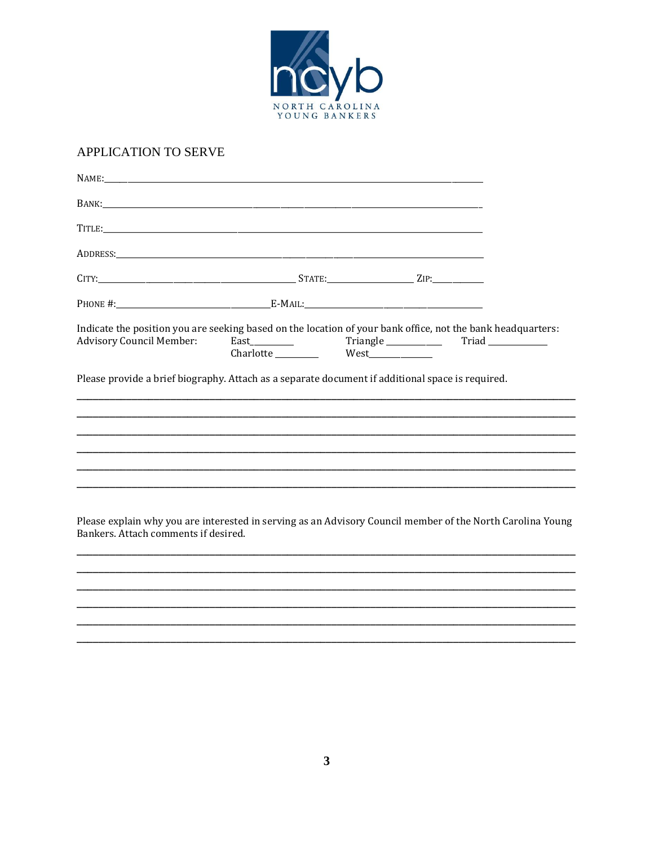

### APPLICATION TO SERVE

| Indicate the position you are seeking based on the location of your bank office, not the bank headquarters:<br><b>Advisory Council Member:</b>     |  |  |
|----------------------------------------------------------------------------------------------------------------------------------------------------|--|--|
| Please provide a brief biography. Attach as a separate document if additional space is required.                                                   |  |  |
|                                                                                                                                                    |  |  |
|                                                                                                                                                    |  |  |
|                                                                                                                                                    |  |  |
|                                                                                                                                                    |  |  |
|                                                                                                                                                    |  |  |
| Please explain why you are interested in serving as an Advisory Council member of the North Carolina Young<br>Bankers. Attach comments if desired. |  |  |
|                                                                                                                                                    |  |  |